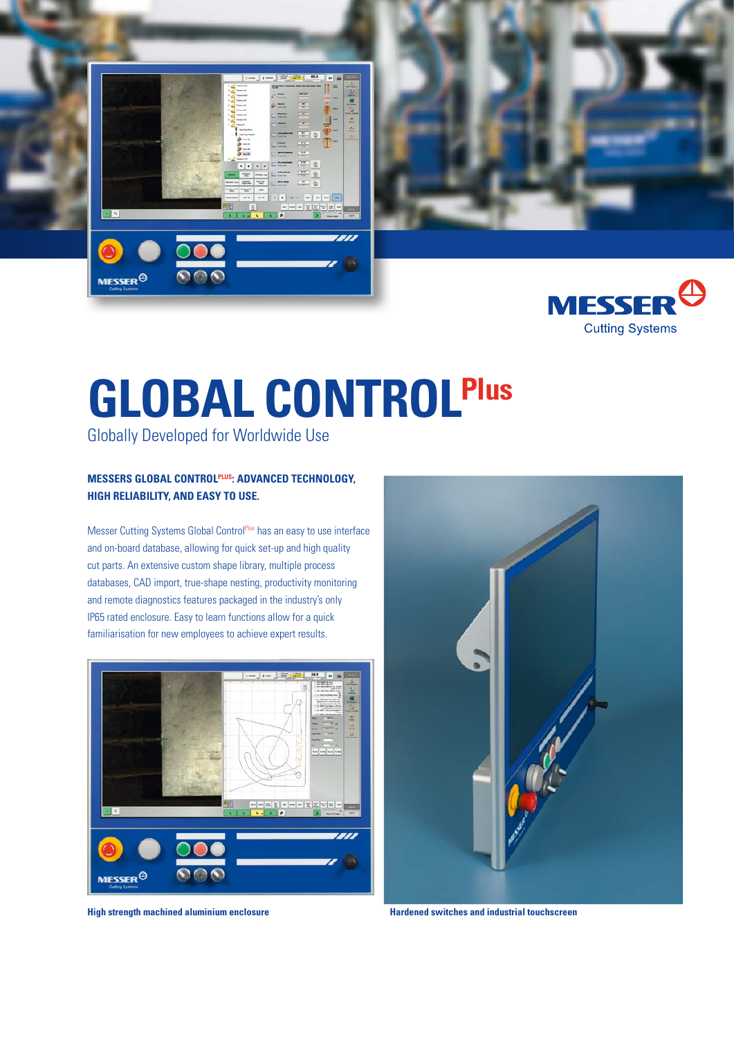





# **GLOBAL CONTROLPlus**

Globally Developed for Worldwide Use

### **MESSERS GLOBAL CONTROLPLUS: ADVANCED TECHNOLOGY, HIGH RELIABILITY, AND EASY TO USE.**

Messer Cutting Systems Global Control<sup>Plus</sup> has an easy to use interface and on-board database, allowing for quick set-up and high quality cut parts. An extensive custom shape library, multiple process databases, CAD import, true-shape nesting, productivity monitoring and remote diagnostics features packaged in the industry's only IP65 rated enclosure. Easy to learn functions allow for a quick familiarisation for new employees to achieve expert results.



**High strength machined aluminium enclosure Hardened switches and industrial touchscreen**